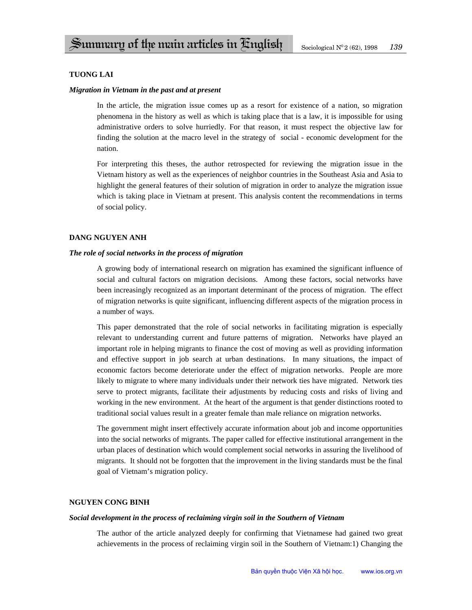# **TUONG LAI**

## *Migration in Vietnam in the past and at present*

In the article, the migration issue comes up as a resort for existence of a nation, so migration phenomena in the history as well as which is taking place that is a law, it is impossible for using administrative orders to solve hurriedly. For that reason, it must respect the objective law for finding the solution at the macro level in the strategy of social - economic development for the nation.

For interpreting this theses, the author retrospected for reviewing the migration issue in the Vietnam history as well as the experiences of neighbor countries in the Southeast Asia and Asia to highlight the general features of their solution of migration in order to analyze the migration issue which is taking place in Vietnam at present. This analysis content the recommendations in terms of social policy.

## **DANG NGUYEN ANH**

## *The role of social networks in the process of migration*

A growing body of international research on migration has examined the significant influence of social and cultural factors on migration decisions. Among these factors, social networks have been increasingly recognized as an important determinant of the process of migration. The effect of migration networks is quite significant, influencing different aspects of the migration process in a number of ways.

This paper demonstrated that the role of social networks in facilitating migration is especially relevant to understanding current and future patterns of migration. Networks have played an important role in helping migrants to finance the cost of moving as well as providing information and effective support in job search at urban destinations. In many situations, the impact of economic factors become deteriorate under the effect of migration networks. People are more likely to migrate to where many individuals under their network ties have migrated. Network ties serve to protect migrants, facilitate their adjustments by reducing costs and risks of living and working in the new environment. At the heart of the argument is that gender distinctions rooted to traditional social values result in a greater female than male reliance on migration networks.

The government might insert effectively accurate information about job and income opportunities into the social networks of migrants. The paper called for effective institutional arrangement in the urban places of destination which would complement social networks in assuring the livelihood of migrants. It should not be forgotten that the improvement in the living standards must be the final goal of Vietnam's migration policy.

## **NGUYEN CONG BINH**

## *Social development in the process of reclaiming virgin soil in the Southern of Vietnam*

The author of the article analyzed deeply for confirming that Vietnamese had gained two great achievements in the process of reclaiming virgin soil in the Southern of Vietnam:1) Changing the